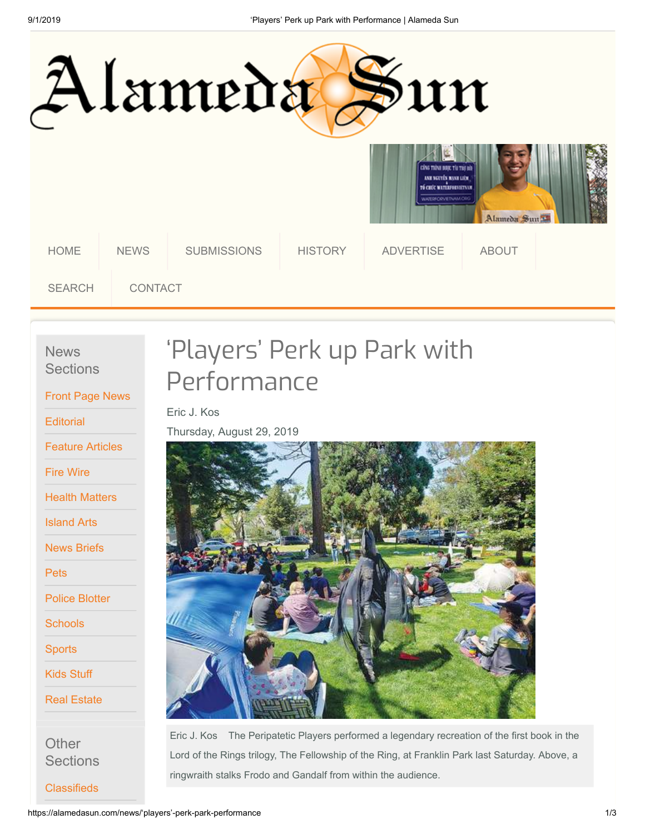

**News Sections** 

[Front Page News](https://alamedasun.com/news/front)

**[Editorial](https://alamedasun.com/news/editorial)** 

[Feature Articles](https://alamedasun.com/news/feature)

[Fire Wire](https://alamedasun.com/news/firewire)

[Health Matters](https://alamedasun.com/news/health-matters)

[Island Arts](https://alamedasun.com/news/island-arts)

[News Briefs](https://alamedasun.com/news/briefs)

**[Pets](https://alamedasun.com/news/pets)** 

[Police Blotter](https://alamedasun.com/news/blotter)

**[Schools](https://alamedasun.com/news/schools)** 

**[Sports](https://alamedasun.com/news/sports)** 

[Kids Stuff](https://alamedasun.com/news/kids-stuff)

[Real Estate](https://alamedasun.com/news/real-estate)

**Other Sections** 

**[Classifieds](https://alamedasun.com/classifieds)** 

## 'Players' Perk up Park with Performance

Eric J. Kos

Thursday, August 29, 2019



Eric J. Kos The Peripatetic Players performed a legendary recreation of the first book in the Lord of the Rings trilogy, The Fellowship of the Ring, at Franklin Park last Saturday. Above, a ringwraith stalks Frodo and Gandalf from within the audience.